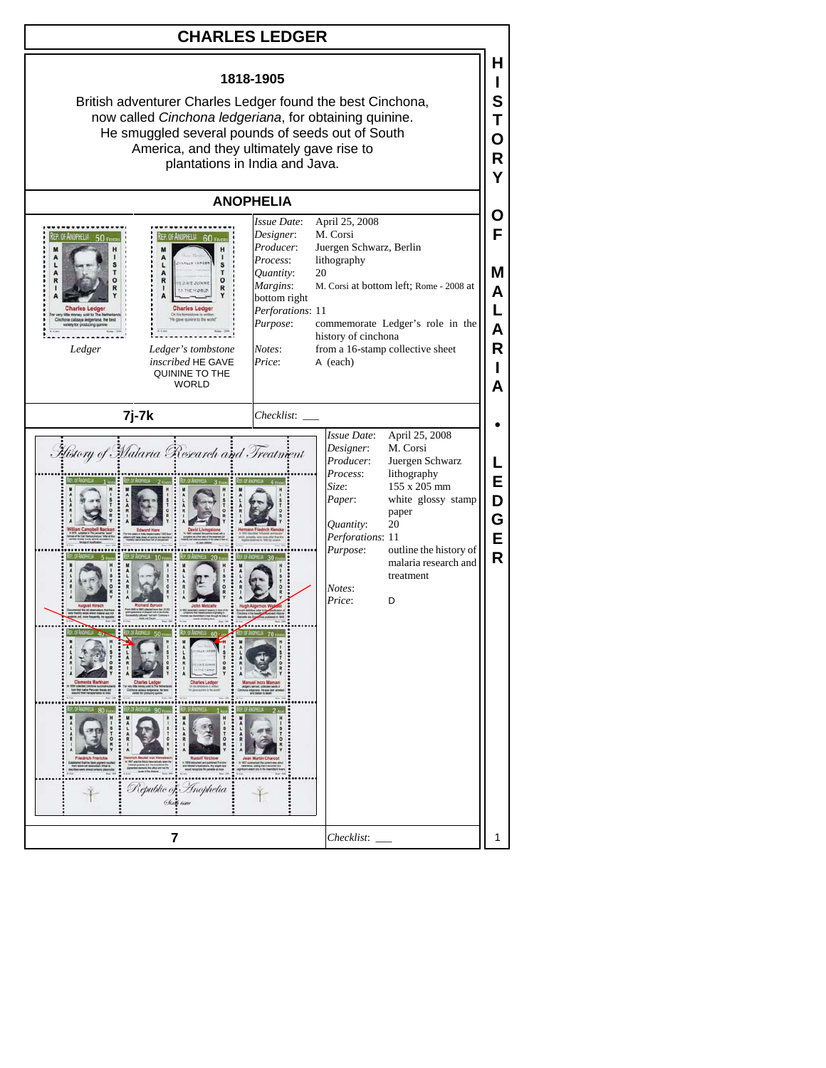